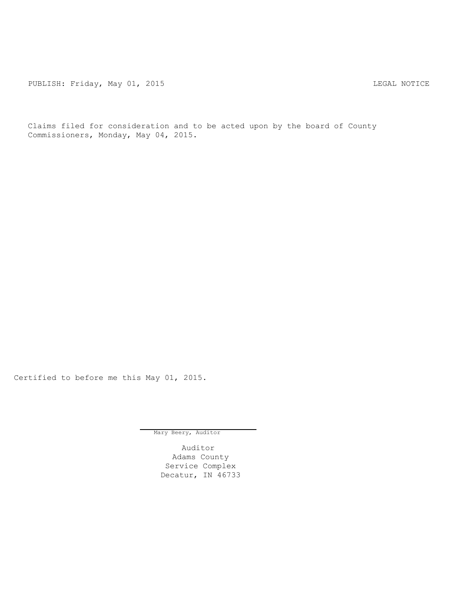PUBLISH: Friday, May 01, 2015 LEGAL NOTICE

Claims filed for consideration and to be acted upon by the board of County Commissioners, Monday, May 04, 2015.

Certified to before me this May 01, 2015.

Mary Beery, Auditor

Auditor Adams County Service Complex Decatur, IN 46733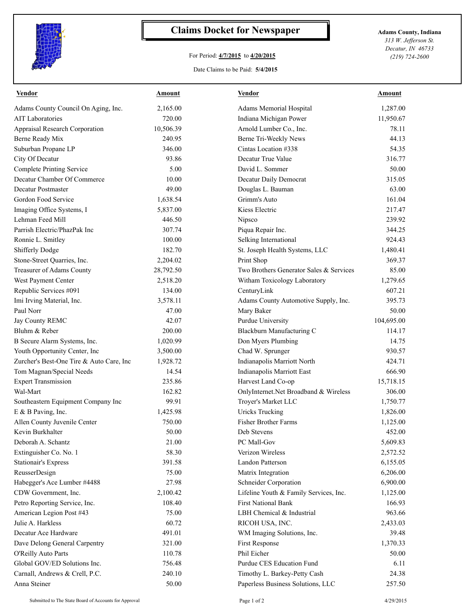

## **Claims Docket for Newspaper Adams County, Indiana**

## For Period: **4/7/2015** to **4/20/2015**

*313 W. Jefferson St. Decatur, IN 46733 (219) 724-2600*

## Date Claims to be Paid: **5/4/2015**

| <b>Vendor</b>                            | <u>Amount</u> | <b>Vendor</b>                           | <b>Amount</b> |
|------------------------------------------|---------------|-----------------------------------------|---------------|
| Adams County Council On Aging, Inc.      | 2,165.00      | Adams Memorial Hospital                 | 1,287.00      |
| <b>AIT Laboratories</b>                  | 720.00        | Indiana Michigan Power                  | 11,950.67     |
| Appraisal Research Corporation           | 10,506.39     | Arnold Lumber Co., Inc.                 | 78.11         |
| Berne Ready Mix                          | 240.95        | Berne Tri-Weekly News                   | 44.13         |
| Suburban Propane LP                      | 346.00        | Cintas Location #338                    | 54.35         |
| City Of Decatur                          | 93.86         | Decatur True Value                      | 316.77        |
| <b>Complete Printing Service</b>         | 5.00          | David L. Sommer                         | 50.00         |
| Decatur Chamber Of Commerce              | 10.00         | Decatur Daily Democrat                  | 315.05        |
| Decatur Postmaster                       | 49.00         | Douglas L. Bauman                       | 63.00         |
| Gordon Food Service                      | 1,638.54      | Grimm's Auto                            | 161.04        |
| Imaging Office Systems, I                | 5,837.00      | Kiess Electric                          | 217.47        |
| Lehman Feed Mill                         | 446.50        | Nipsco                                  | 239.92        |
| Parrish Electric/PhazPak Inc             | 307.74        | Piqua Repair Inc.                       | 344.25        |
| Ronnie L. Smitley                        | 100.00        | Selking International                   | 924.43        |
| Shifferly Dodge                          | 182.70        | St. Joseph Health Systems, LLC          | 1,480.41      |
| Stone-Street Quarries, Inc.              | 2,204.02      | Print Shop                              | 369.37        |
| Treasurer of Adams County                | 28,792.50     | Two Brothers Generator Sales & Services | 85.00         |
| West Payment Center                      | 2,518.20      | Witham Toxicology Laboratory            | 1,279.65      |
| Republic Services #091                   | 134.00        | CenturyLink                             | 607.21        |
| Imi Irving Material, Inc.                | 3,578.11      | Adams County Automotive Supply, Inc.    | 395.73        |
| Paul Norr                                | 47.00         | Mary Baker                              | 50.00         |
| Jay County REMC                          | 42.07         | Purdue University                       | 104,695.00    |
| Bluhm & Reber                            | 200.00        | Blackburn Manufacturing C               | 114.17        |
| B Secure Alarm Systems, Inc.             | 1,020.99      | Don Myers Plumbing                      | 14.75         |
| Youth Opportunity Center, Inc            | 3,500.00      | Chad W. Sprunger                        | 930.57        |
| Zurcher's Best-One Tire & Auto Care, Inc | 1,928.72      | Indianapolis Marriott North             | 424.71        |
| Tom Magnan/Special Needs                 | 14.54         | Indianapolis Marriott East              | 666.90        |
| <b>Expert Transmission</b>               | 235.86        | Harvest Land Co-op                      | 15,718.15     |
| Wal-Mart                                 | 162.82        | OnlyInternet.Net Broadband & Wireless   | 306.00        |
| Southeastern Equipment Company Inc       | 99.91         | Troyer's Market LLC                     | 1,750.77      |
| E & B Paving, Inc.                       | 1,425.98      | <b>Uricks Trucking</b>                  | 1,826.00      |
| Allen County Juvenile Center             | 750.00        | <b>Fisher Brother Farms</b>             | 1,125.00      |
| Kevin Burkhalter                         | 50.00         | Deb Stevens                             | 452.00        |
| Deborah A. Schantz                       | 21.00         | PC Mall-Gov                             | 5,609.83      |
| Extinguisher Co. No. 1                   | 58.30         | Verizon Wireless                        | 2,572.52      |
| <b>Stationair's Express</b>              | 391.58        | Landon Patterson                        | 6,155.05      |
| ReusserDesign                            | 75.00         | Matrix Integration                      | 6,206.00      |
| Habegger's Ace Lumber #4488              | 27.98         | Schneider Corporation                   | 6,900.00      |
| CDW Government, Inc.                     | 2,100.42      | Lifeline Youth & Family Services, Inc.  | 1,125.00      |
| Petro Reporting Service, Inc.            | 108.40        | <b>First National Bank</b>              | 166.93        |
| American Legion Post #43                 | 75.00         | LBH Chemical & Industrial               | 963.66        |
| Julie A. Harkless                        | 60.72         | RICOH USA, INC.                         | 2,433.03      |
| Decatur Ace Hardware                     | 491.01        | WM Imaging Solutions, Inc.              | 39.48         |
| Dave Delong General Carpentry            | 321.00        | First Response                          | 1,370.33      |
| O'Reilly Auto Parts                      | 110.78        | Phil Eicher                             | 50.00         |
| Global GOV/ED Solutions Inc.             | 756.48        | Purdue CES Education Fund               | 6.11          |
| Carnall, Andrews & Crell, P.C.           | 240.10        | Timothy L. Barkey-Petty Cash            | 24.38         |
| Anna Steiner                             | 50.00         | Paperless Business Solutions, LLC       | 257.50        |
|                                          |               |                                         |               |